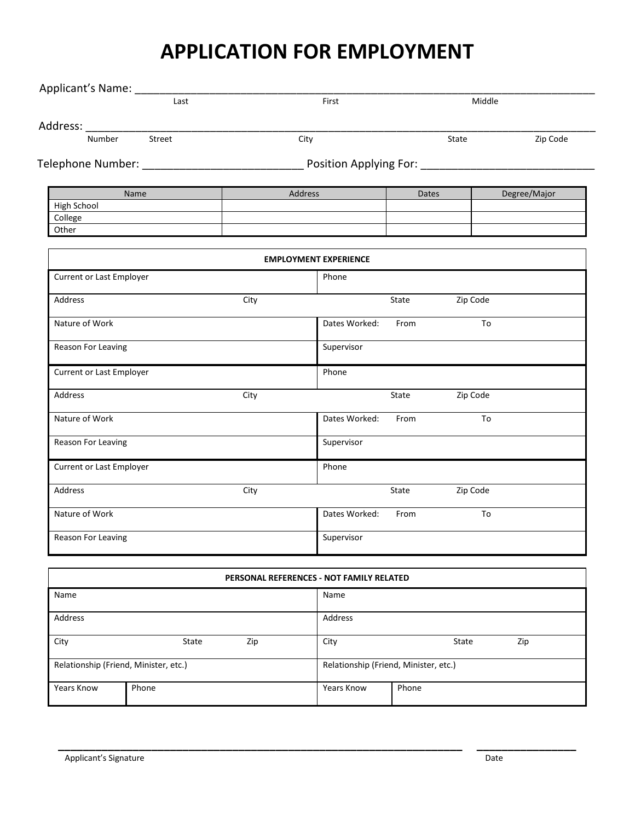## **APPLICATION FOR EMPLOYMENT**

| Applicant's Name: _____               |      |                                          |       |          |              |
|---------------------------------------|------|------------------------------------------|-------|----------|--------------|
| Last                                  |      |                                          |       | Middle   |              |
| Address:<br>$\overline{\phantom{a}}$  |      |                                          |       |          |              |
| Street<br>Number                      | City |                                          | State |          | Zip Code     |
|                                       |      | Position Applying For: _________________ |       |          |              |
| Name                                  |      | Address                                  | Dates |          | Degree/Major |
| High School                           |      |                                          |       |          |              |
| College                               |      |                                          |       |          |              |
| Other                                 |      |                                          |       |          |              |
|                                       |      | <b>EMPLOYMENT EXPERIENCE</b>             |       |          |              |
| <b>Current or Last Employer</b>       |      | Phone                                    |       |          |              |
| Address                               | City |                                          | State | Zip Code |              |
| Nature of Work                        |      | Dates Worked:                            | From  | To       |              |
| Reason For Leaving                    |      | Supervisor                               |       |          |              |
| <b>Current or Last Employer</b>       |      | Phone                                    |       |          |              |
| Address                               | City |                                          | State | Zip Code |              |
| Nature of Work                        |      | Dates Worked:                            | From  | To       |              |
| Reason For Leaving                    |      | Supervisor                               |       |          |              |
| <b>Current or Last Employer</b>       |      | Phone                                    |       |          |              |
| Address                               | City |                                          | State | Zip Code |              |
| Nature of Work                        |      | Dates Worked:                            | From  | To       |              |
| Reason For Leaving                    |      | Supervisor                               |       |          |              |
|                                       |      |                                          |       |          |              |
|                                       |      | PERSONAL REFERENCES - NOT FAMILY RELATED |       |          |              |
| Name                                  |      | Name                                     |       |          |              |
| Address                               |      | Address                                  |       |          |              |
| State<br>City                         | Zip  | City                                     |       | State    | Zip          |
| Relationship (Friend, Minister, etc.) |      | Relationship (Friend, Minister, etc.)    |       |          |              |

**\_\_\_\_\_\_\_\_\_\_\_\_\_\_\_\_\_\_\_\_\_\_\_\_\_\_\_\_\_\_\_\_\_\_\_\_\_\_\_\_\_\_\_\_\_\_\_\_\_\_\_\_\_\_\_\_\_\_\_\_\_\_\_\_\_ \_\_\_\_\_\_\_\_\_\_\_\_\_\_\_\_**

Years Know Phone Phone Phone Phone Phone